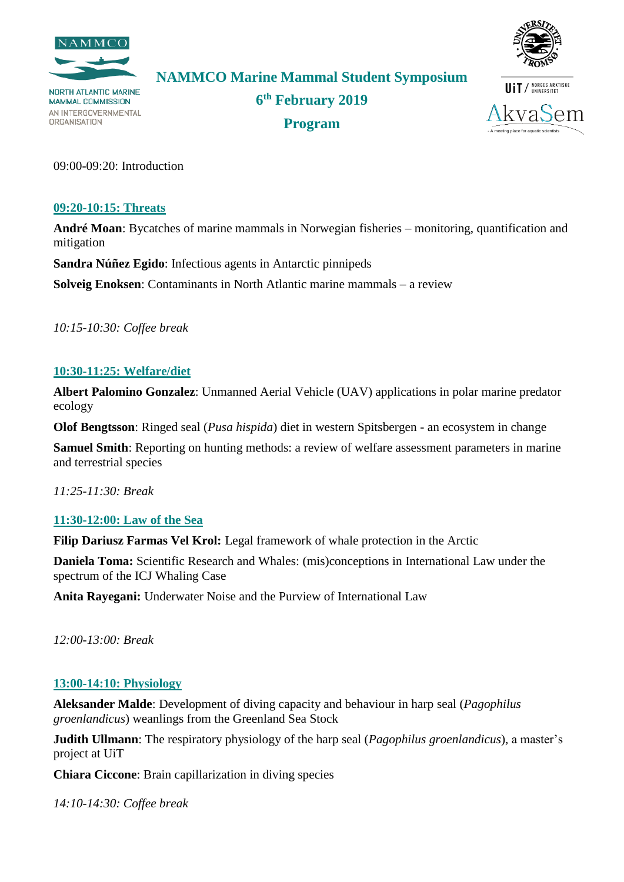



**NAMMCO Marine Mammal Student Symposium**

**NORTH ATLANTIC MARINE MAMMAL COMMISSION** AN INTERGOVERNMENTAL **ORGANISATION** 

**6 th February 2019 Program**



09:00-09:20: Introduction

#### **09:20-10:15: Threats**

**André Moan**: Bycatches of marine mammals in Norwegian fisheries – monitoring, quantification and mitigation

**Sandra Núñez Egido**: Infectious agents in Antarctic pinnipeds

**Solveig Enoksen**: Contaminants in North Atlantic marine mammals – a review

*10:15-10:30: Coffee break*

## **10:30-11:25: Welfare/diet**

**Albert Palomino Gonzalez**: Unmanned Aerial Vehicle (UAV) applications in polar marine predator ecology

**Olof Bengtsson**: Ringed seal (*Pusa hispida*) diet in western Spitsbergen - an ecosystem in change

**Samuel Smith**: Reporting on hunting methods: a review of welfare assessment parameters in marine and terrestrial species

*11:25-11:30: Break*

## **11:30-12:00: Law of the Sea**

**Filip Dariusz Farmas Vel Krol:** Legal framework of whale protection in the Arctic

**Daniela Toma:** Scientific Research and Whales: (mis)conceptions in International Law under the spectrum of the ICJ Whaling Case

**Anita Rayegani:** Underwater Noise and the Purview of International Law

*12:00-13:00: Break*

## **13:00-14:10: Physiology**

**Aleksander Malde**: Development of diving capacity and behaviour in harp seal (*Pagophilus groenlandicus*) weanlings from the Greenland Sea Stock

**Judith Ullmann**: The respiratory physiology of the harp seal (*Pagophilus groenlandicus*), a master's project at UiT

**Chiara Ciccone**: Brain capillarization in diving species

*14:10-14:30: Coffee break*